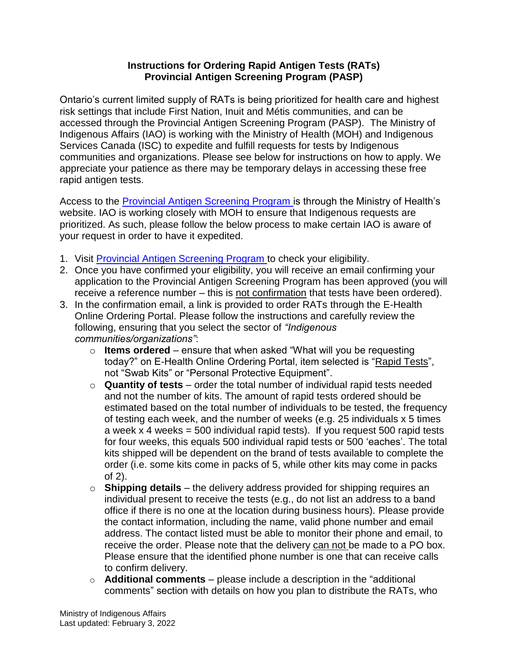## **Instructions for Ordering Rapid Antigen Tests (RATs) Provincial Antigen Screening Program (PASP)**

Ontario's current limited supply of RATs is being prioritized for health care and highest risk settings that include First Nation, Inuit and Métis communities, and can be accessed through the Provincial Antigen Screening Program (PASP). The Ministry of Indigenous Affairs (IAO) is working with the Ministry of Health (MOH) and Indigenous Services Canada (ISC) to expedite and fulfill requests for tests by Indigenous communities and organizations. Please see below for instructions on how to apply. We appreciate your patience as there may be temporary delays in accessing these free rapid antigen tests.

Access to the [Provincial Antigen Screening Program i](https://covid-19.ontario.ca/get-free-rapid-tests)s through the Ministry of Health's website. IAO is working closely with MOH to ensure that Indigenous requests are prioritized. As such, please follow the below process to make certain IAO is aware of your request in order to have it expedited.

- 1. Visit [Provincial Antigen Screening Program t](https://covid-19.ontario.ca/get-free-rapid-tests)o check your eligibility.
- 2. Once you have confirmed your eligibility, you will receive an email confirming your application to the Provincial Antigen Screening Program has been approved (you will receive a reference number – this is not confirmation that tests have been ordered).
- 3. In the confirmation email, a link is provided to order RATs through the E-Health Online Ordering Portal. Please follow the instructions and carefully review the following, ensuring that you select the sector of *"Indigenous communities/organizations"*:
	- o **Items ordered** ensure that when asked "What will you be requesting today?" on E-Health Online Ordering Portal, item selected is "Rapid Tests", not "Swab Kits" or "Personal Protective Equipment".
	- o **Quantity of tests**  order the total number of individual rapid tests needed and not the number of kits. The amount of rapid tests ordered should be estimated based on the total number of individuals to be tested, the frequency of testing each week, and the number of weeks (e.g. 25 individuals x 5 times a week  $x$  4 weeks = 500 individual rapid tests). If you request 500 rapid tests for four weeks, this equals 500 individual rapid tests or 500 'eaches'. The total kits shipped will be dependent on the brand of tests available to complete the order (i.e. some kits come in packs of 5, while other kits may come in packs of 2).
	- o **Shipping details** the delivery address provided for shipping requires an individual present to receive the tests (e.g., do not list an address to a band office if there is no one at the location during business hours). Please provide the contact information, including the name, valid phone number and email address. The contact listed must be able to monitor their phone and email, to receive the order. Please note that the delivery can not be made to a PO box. Please ensure that the identified phone number is one that can receive calls to confirm delivery.
	- o **Additional comments** please include a description in the "additional comments" section with details on how you plan to distribute the RATs, who